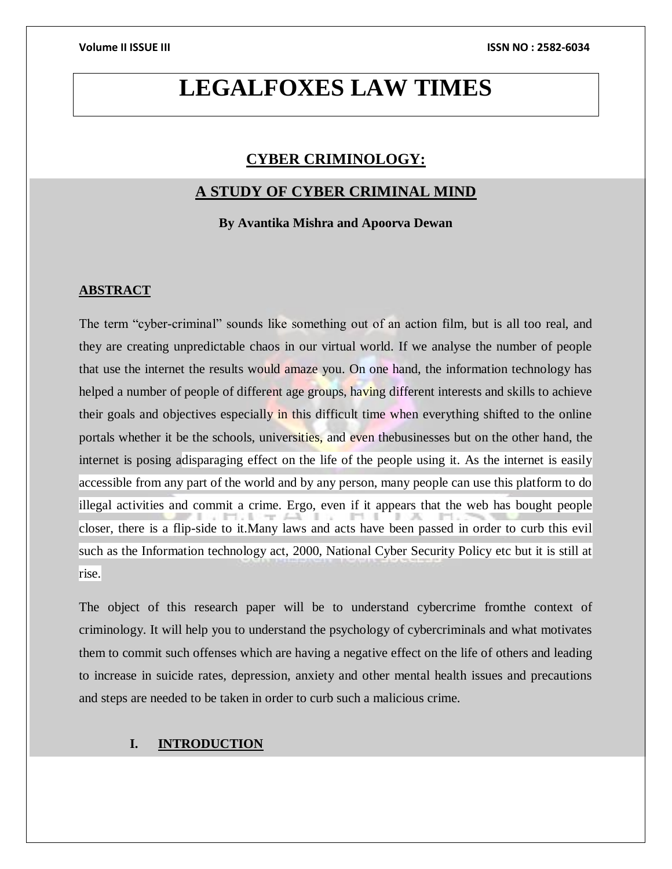## **LEGALFOXES LAW TIMES**

### **CYBER CRIMINOLOGY:**

### **A STUDY OF CYBER CRIMINAL MIND**

**By Avantika Mishra and Apoorva Dewan**

### **ABSTRACT**

The term "cyber-criminal" sounds like something out of an action film, but is all too real, and they are creating unpredictable chaos in our virtual world. If we analyse the number of people that use the internet the results would amaze you. On one hand, the information technology has helped a number of people of different age groups, having different interests and skills to achieve their goals and objectives especially in this difficult time when everything shifted to the online portals whether it be the schools, universities, and even thebusinesses but on the other hand, the internet is posing adisparaging effect on the life of the people using it. As the internet is easily accessible from any part of the world and by any person, many people can use this platform to do illegal activities and commit a crime. Ergo, even if it appears that the web has bought people closer, there is a flip-side to it.Many laws and acts have been passed in order to curb this evil such as the Information technology act, 2000, National Cyber Security Policy etc but it is still at rise.

The object of this research paper will be to understand cybercrime fromthe context of criminology. It will help you to understand the psychology of cybercriminals and what motivates them to commit such offenses which are having a negative effect on the life of others and leading to increase in suicide rates, depression, anxiety and other mental health issues and precautions and steps are needed to be taken in order to curb such a malicious crime.

### **I. INTRODUCTION**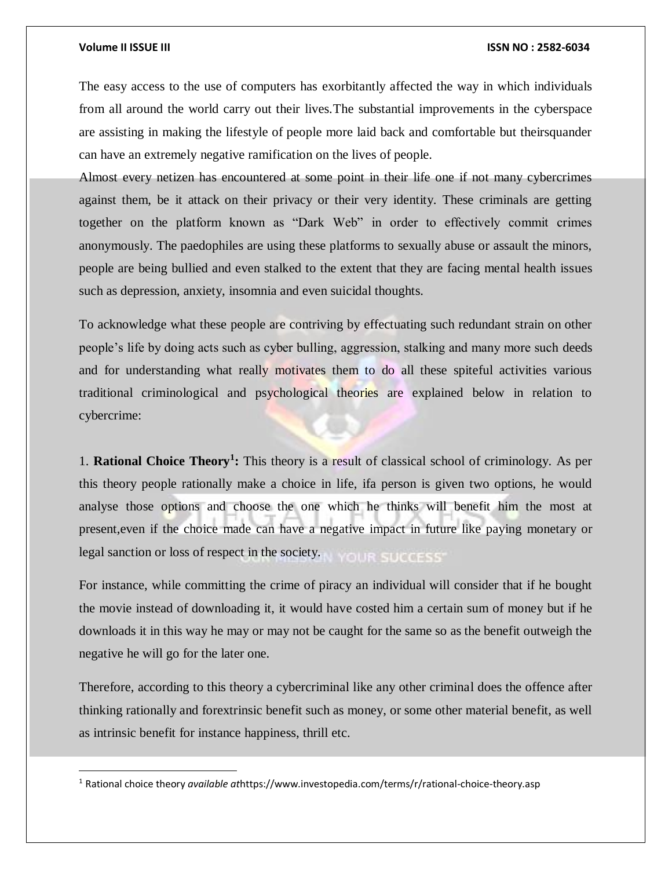$\overline{a}$ 

The easy access to the use of computers has exorbitantly affected the way in which individuals from all around the world carry out their lives.The substantial improvements in the cyberspace are assisting in making the lifestyle of people more laid back and comfortable but theirsquander can have an extremely negative ramification on the lives of people.

Almost every netizen has encountered at some point in their life one if not many cybercrimes against them, be it attack on their privacy or their very identity. These criminals are getting together on the platform known as "Dark Web" in order to effectively commit crimes anonymously. The paedophiles are using these platforms to sexually abuse or assault the minors, people are being bullied and even stalked to the extent that they are facing mental health issues such as depression, anxiety, insomnia and even suicidal thoughts.

To acknowledge what these people are contriving by effectuating such redundant strain on other people's life by doing acts such as cyber bulling, aggression, stalking and many more such deeds and for understanding what really motivates them to do all these spiteful activities various traditional criminological and psychological theories are explained below in relation to cybercrime:

1. **Rational Choice Theory<sup>1</sup> :** This theory is a result of classical school of criminology. As per this theory people rationally make a choice in life, ifa person is given two options, he would analyse those options and choose the one which he thinks will benefit him the most at present,even if the choice made can have a negative impact in future like paying monetary or legal sanction or loss of respect in the society. YOUR SUCCESS"

For instance, while committing the crime of piracy an individual will consider that if he bought the movie instead of downloading it, it would have costed him a certain sum of money but if he downloads it in this way he may or may not be caught for the same so as the benefit outweigh the negative he will go for the later one.

Therefore, according to this theory a cybercriminal like any other criminal does the offence after thinking rationally and forextrinsic benefit such as money, or some other material benefit, as well as intrinsic benefit for instance happiness, thrill etc.

<sup>1</sup> Rational choice theory *available at*https://www.investopedia.com/terms/r/rational-choice-theory.asp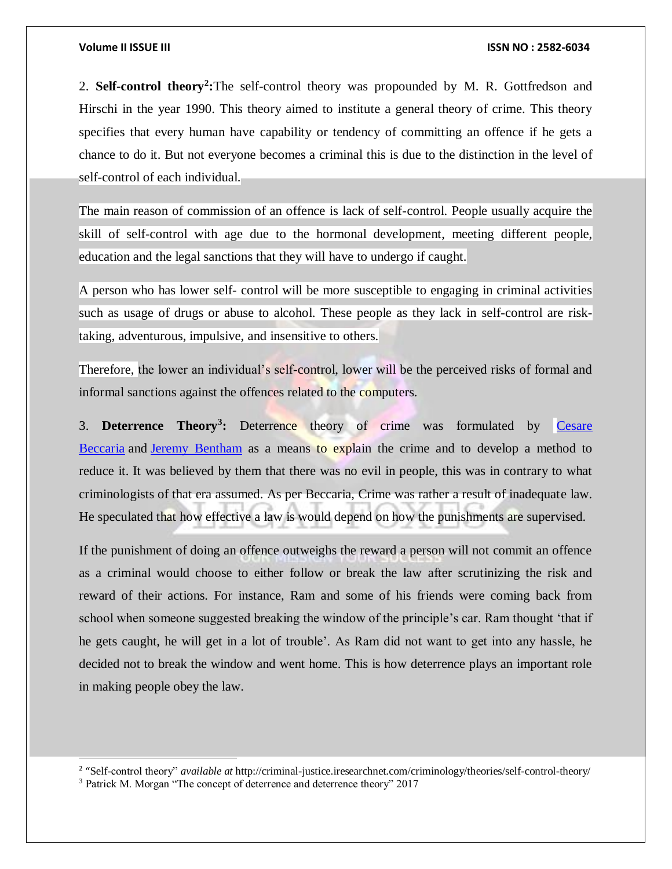2. **Self-control theory<sup>2</sup> :**The self-control theory was propounded by M. R. Gottfredson and Hirschi in the year 1990. This theory aimed to institute a general theory of crime. This theory specifies that every human have capability or tendency of committing an offence if he gets a chance to do it. But not everyone becomes a criminal this is due to the distinction in the level of self-control of each individual.

The main reason of commission of an offence is lack of self-control. People usually acquire the skill of self-control with age due to the hormonal development, meeting different people, education and the legal sanctions that they will have to undergo if caught.

A person who has lower self- control will be more susceptible to engaging in criminal activities such as usage of drugs or abuse to alcohol. These people as they lack in self-control are risktaking, adventurous, impulsive, and insensitive to others.

Therefore, the lower an individual's self-control, lower will be the perceived risks of formal and informal sanctions against the offences related to the computers.

3. **Deterrence Theory<sup>3</sup> :** Deterrence theory of crime was formulated by [Cesare](https://en.wikipedia.org/wiki/Cesare_Beccaria)  [Beccaria](https://en.wikipedia.org/wiki/Cesare_Beccaria) and [Jeremy Bentham](https://en.wikipedia.org/wiki/Jeremy_Bentham) as a means to explain the crime and to develop a method to reduce it. It was believed by them that there was no evil in people, this was in contrary to what criminologists of that era assumed. As per Beccaria, Crime was rather a result of inadequate law. He speculated that how effective a law is would depend on how the punishments are supervised.

If the punishment of doing an offence outweighs the reward a person will not commit an offence as a criminal would choose to either follow or break the law after scrutinizing the risk and reward of their actions. For instance, Ram and some of his friends were coming back from school when someone suggested breaking the window of the principle's car. Ram thought 'that if he gets caught, he will get in a lot of trouble'. As Ram did not want to get into any hassle, he decided not to break the window and went home. This is how deterrence plays an important role in making people obey the law.

l

<sup>&</sup>lt;sup>2</sup> "Self-control theory" *available at* http://criminal-justice.iresearchnet.com/criminology/theories/self-control-theory/

<sup>3</sup> Patrick M. Morgan "The concept of deterrence and deterrence theory" 2017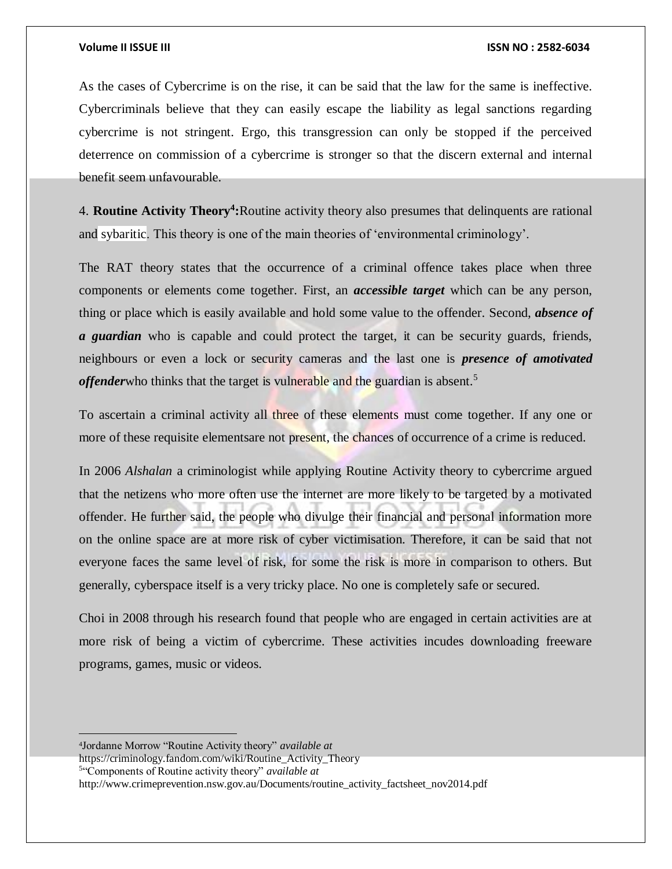As the cases of Cybercrime is on the rise, it can be said that the law for the same is ineffective. Cybercriminals believe that they can easily escape the liability as legal sanctions regarding cybercrime is not stringent. Ergo, this transgression can only be stopped if the perceived deterrence on commission of a cybercrime is stronger so that the discern external and internal benefit seem unfavourable.

4. **Routine Activity Theory<sup>4</sup> :**Routine activity theory also presumes that delinquents are rational and sybaritic. This theory is one of the main theories of 'environmental criminology'.

The RAT theory states that the occurrence of a criminal offence takes place when three components or elements come together. First, an *accessible target* which can be any person, thing or place which is easily available and hold some value to the offender. Second, *absence of a guardian* who is capable and could protect the target, it can be security guards, friends, neighbours or even a lock or security cameras and the last one is *presence of amotivated offenderwho thinks that the target is vulnerable and the guardian is absent.*<sup>5</sup>

To ascertain a criminal activity all three of these elements must come together. If any one or more of these requisite elementsare not present, the chances of occurrence of a crime is reduced.

In 2006 *Alshalan* a criminologist while applying Routine Activity theory to cybercrime argued that the netizens who more often use the internet are more likely to be targeted by a motivated offender. He further said, the people who divulge their financial and personal information more on the online space are at more risk of cyber victimisation. Therefore, it can be said that not everyone faces the same level of risk, for some the risk is more in comparison to others. But generally, cyberspace itself is a very tricky place. No one is completely safe or secured.

Choi in 2008 through his research found that people who are engaged in certain activities are at more risk of being a victim of cybercrime. These activities incudes downloading freeware programs, games, music or videos.

4 Jordanne Morrow "Routine Activity theory" *available at* 

https://criminology.fandom.com/wiki/Routine\_Activity\_Theory

5 "Components of Routine activity theory" *available at*

http://www.crimeprevention.nsw.gov.au/Documents/routine\_activity\_factsheet\_nov2014.pdf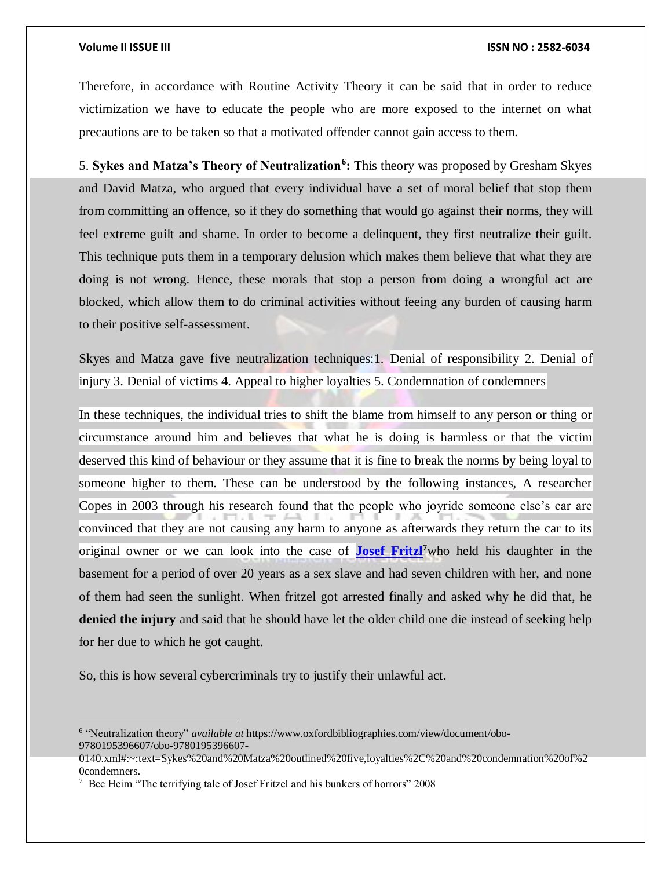$\overline{a}$ 

Therefore, in accordance with Routine Activity Theory it can be said that in order to reduce victimization we have to educate the people who are more exposed to the internet on what precautions are to be taken so that a motivated offender cannot gain access to them.

5. **Sykes and Matza's Theory of Neutralization<sup>6</sup> :** This theory was proposed by Gresham Skyes and David Matza, who argued that every individual have a set of moral belief that stop them from committing an offence, so if they do something that would go against their norms, they will feel extreme guilt and shame. In order to become a delinquent, they first neutralize their guilt. This technique puts them in a temporary delusion which makes them believe that what they are doing is not wrong. Hence, these morals that stop a person from doing a wrongful act are blocked, which allow them to do criminal activities without feeing any burden of causing harm to their positive self-assessment.

Skyes and Matza gave five neutralization techniques:1. Denial of responsibility 2. Denial of injury 3. Denial of victims 4. Appeal to higher loyalties 5. Condemnation of condemners

In these techniques, the individual tries to shift the blame from himself to any person or thing or circumstance around him and believes that what he is doing is harmless or that the victim deserved this kind of behaviour or they assume that it is fine to break the norms by being loyal to someone higher to them. These can be understood by the following instances, A researcher Copes in 2003 through his research found that the people who joyride someone else's car are convinced that they are not causing any harm to anyone as afterwards they return the car to its original owner or we can look into the case of **[Josef Fritzl](https://www.dailymail.co.uk/news/article-562377/Pictured-Inside-cellar-father-locked-daughter-24-years-repeatedly-raped-her.html)<sup>7</sup>**who held his daughter in the basement for a period of over 20 years as a sex slave and had seven children with her, and none of them had seen the sunlight. When fritzel got arrested finally and asked why he did that, he **denied the injury** and said that he should have let the older child one die instead of seeking help for her due to which he got caught.

So, this is how several cybercriminals try to justify their unlawful act.

<sup>6</sup> "Neutralization theory" *available at* https://www.oxfordbibliographies.com/view/document/obo-9780195396607/obo-9780195396607-

<sup>0140.</sup>xml#:~:text=Sykes%20and%20Matza%20outlined%20five,loyalties%2C%20and%20condemnation%20of%2 0condemners.

<sup>7</sup> Bec Heim "The terrifying tale of Josef Fritzel and his bunkers of horrors" 2008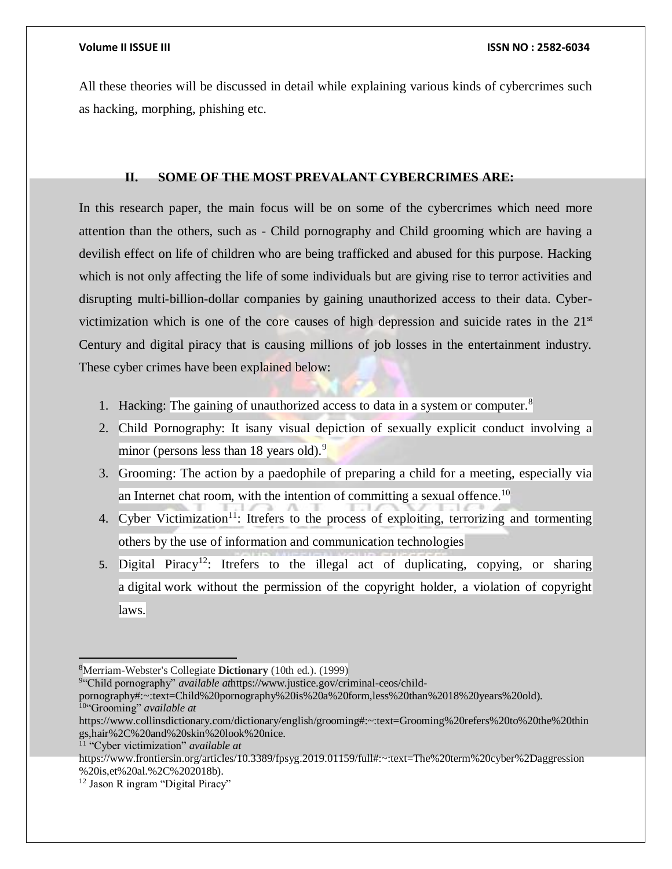All these theories will be discussed in detail while explaining various kinds of cybercrimes such as hacking, morphing, phishing etc.

### **II. SOME OF THE MOST PREVALANT CYBERCRIMES ARE:**

In this research paper, the main focus will be on some of the cybercrimes which need more attention than the others, such as - Child pornography and Child grooming which are having a devilish effect on life of children who are being trafficked and abused for this purpose. Hacking which is not only affecting the life of some individuals but are giving rise to terror activities and disrupting multi-billion-dollar companies by gaining unauthorized access to their data. Cybervictimization which is one of the core causes of high depression and suicide rates in the  $21<sup>st</sup>$ Century and digital piracy that is causing millions of job losses in the entertainment industry. These cyber crimes have been explained below:

- 1. Hacking: The gaining of unauthorized access to data in a system or computer.<sup>8</sup>
- 2. Child Pornography: It isany visual depiction of sexually explicit conduct involving a minor (persons less than 18 years old). $9$
- 3. Grooming: The action by a paedophile of preparing a child for a meeting, especially via an Internet chat room, with the intention of committing a sexual offence.<sup>10</sup>
- 4. Cyber Victimization<sup>11</sup>: Itrefers to the process of exploiting, terrorizing and tormenting others by the use of information and communication technologies
- 5. Digital Piracy<sup>12</sup>: Itrefers to the illegal act of duplicating, copying, or sharing a digital work without the permission of the copyright holder, a violation of copyright laws.

9 "Child pornography" *available at*https://www.justice.gov/criminal-ceos/child-

 $\overline{a}$ 

<sup>8</sup>Merriam-Webster's Collegiate **Dictionary** (10th ed.). (1999)

pornography#:~:text=Child%20pornography%20is%20a%20form,less%20than%2018%20years%20old). <sup>10</sup>"Grooming" *available at*

https://www.collinsdictionary.com/dictionary/english/grooming#:~:text=Grooming%20refers%20to%20the%20thin gs,hair%2C%20and%20skin%20look%20nice.

<sup>11</sup> "Cyber victimization" *available at*

https://www.frontiersin.org/articles/10.3389/fpsyg.2019.01159/full#:~:text=The%20term%20cyber%2Daggression %20is,et%20al.%2C%202018b).

<sup>&</sup>lt;sup>12</sup> Jason R ingram "Digital Piracy"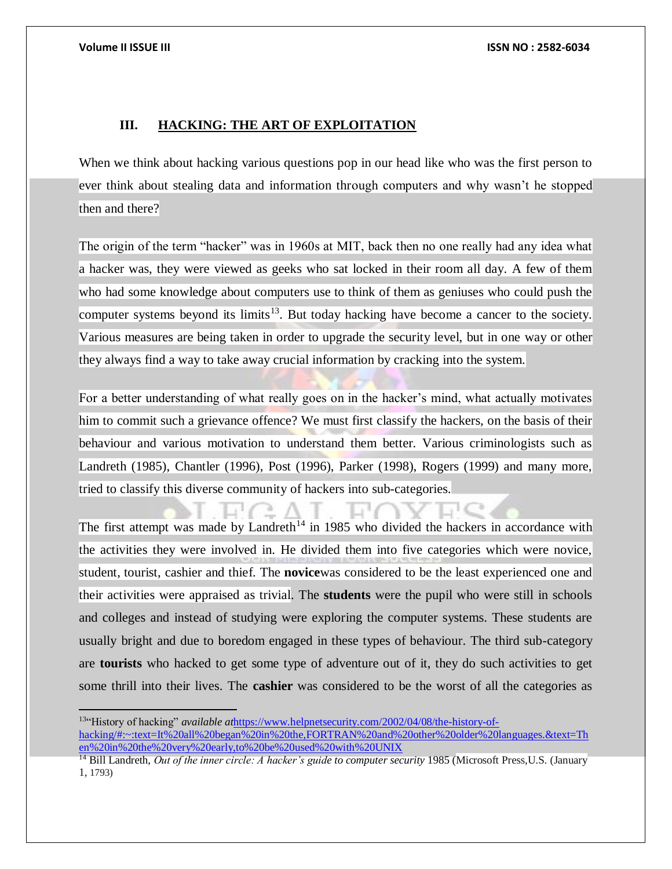### **III. HACKING: THE ART OF EXPLOITATION**

When we think about hacking various questions pop in our head like who was the first person to ever think about stealing data and information through computers and why wasn't he stopped then and there?

The origin of the term "hacker" was in 1960s at MIT, back then no one really had any idea what a hacker was, they were viewed as geeks who sat locked in their room all day. A few of them who had some knowledge about computers use to think of them as geniuses who could push the computer systems beyond its limits<sup>13</sup>. But today hacking have become a cancer to the society. Various measures are being taken in order to upgrade the security level, but in one way or other they always find a way to take away crucial information by cracking into the system.

For a better understanding of what really goes on in the hacker's mind, what actually motivates him to commit such a grievance offence? We must first classify the hackers, on the basis of their behaviour and various motivation to understand them better. Various criminologists such as Landreth (1985), Chantler (1996), Post (1996), Parker (1998), Rogers (1999) and many more, tried to classify this diverse community of hackers into sub-categories.

The first attempt was made by Landreth<sup>14</sup> in 1985 who divided the hackers in accordance with the activities they were involved in. He divided them into five categories which were novice, student, tourist, cashier and thief. The **novice**was considered to be the least experienced one and their activities were appraised as trivial. The **students** were the pupil who were still in schools and colleges and instead of studying were exploring the computer systems. These students are usually bright and due to boredom engaged in these types of behaviour. The third sub-category are **tourists** who hacked to get some type of adventure out of it, they do such activities to get some thrill into their lives. The **cashier** was considered to be the worst of all the categories as

<sup>13</sup>"History of hacking" *available at*[https://www.helpnetsecurity.com/2002/04/08/the-history-of](https://www.helpnetsecurity.com/2002/04/08/the-history-of-hacking/#:~:text=It%20all%20began%20in%20the,FORTRAN%20and%20other%20older%20languages.&text=Then%20in%20the%20very%20early,to%20be%20used%20with%20UNIX)[hacking/#:~:text=It%20all%20began%20in%20the,FORTRAN%20and%20other%20older%20languages.&text=Th](https://www.helpnetsecurity.com/2002/04/08/the-history-of-hacking/#:~:text=It%20all%20began%20in%20the,FORTRAN%20and%20other%20older%20languages.&text=Then%20in%20the%20very%20early,to%20be%20used%20with%20UNIX) [en%20in%20the%20very%20early,to%20be%20used%20with%20UNIX](https://www.helpnetsecurity.com/2002/04/08/the-history-of-hacking/#:~:text=It%20all%20began%20in%20the,FORTRAN%20and%20other%20older%20languages.&text=Then%20in%20the%20very%20early,to%20be%20used%20with%20UNIX)

<sup>&</sup>lt;sup>14</sup> Bill Landreth, *Out of the inner circle: A hacker's guide to computer security* 1985 (Microsoft Press, U.S. (January 1, 1793)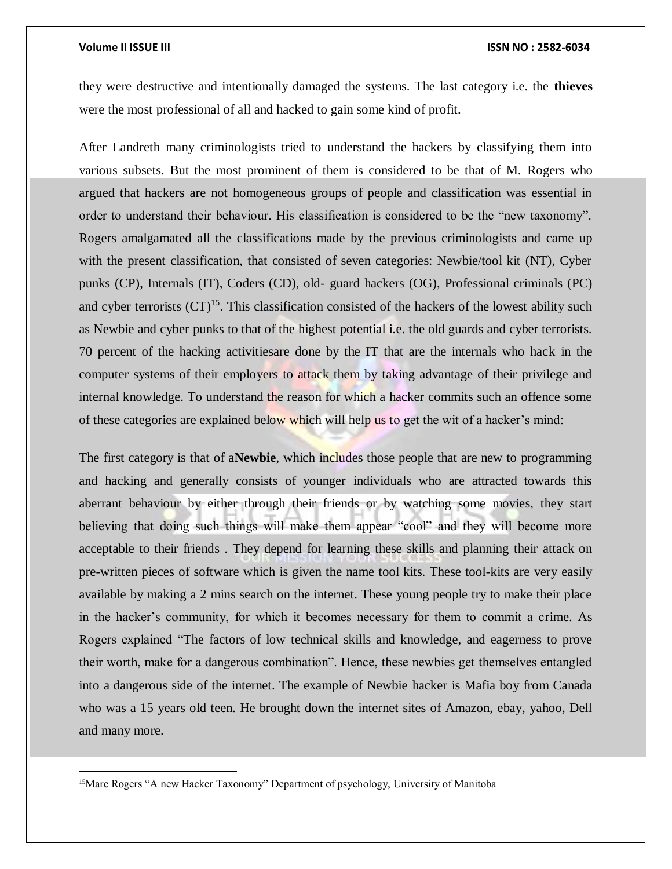$\overline{a}$ 

they were destructive and intentionally damaged the systems. The last category i.e. the **thieves**  were the most professional of all and hacked to gain some kind of profit.

After Landreth many criminologists tried to understand the hackers by classifying them into various subsets. But the most prominent of them is considered to be that of M. Rogers who argued that hackers are not homogeneous groups of people and classification was essential in order to understand their behaviour. His classification is considered to be the "new taxonomy". Rogers amalgamated all the classifications made by the previous criminologists and came up with the present classification, that consisted of seven categories: Newbie/tool kit (NT), Cyber punks (CP), Internals (IT), Coders (CD), old- guard hackers (OG), Professional criminals (PC) and cyber terrorists  $(CT)^{15}$ . This classification consisted of the hackers of the lowest ability such as Newbie and cyber punks to that of the highest potential i.e. the old guards and cyber terrorists. 70 percent of the hacking activitiesare done by the IT that are the internals who hack in the computer systems of their employers to attack them by taking advantage of their privilege and internal knowledge. To understand the reason for which a hacker commits such an offence some of these categories are explained below which will help us to get the wit of a hacker's mind:

The first category is that of a**Newbie**, which includes those people that are new to programming and hacking and generally consists of younger individuals who are attracted towards this aberrant behaviour by either through their friends or by watching some movies, they start believing that doing such things will make them appear "cool" and they will become more acceptable to their friends . They depend for learning these skills and planning their attack on pre-written pieces of software which is given the name tool kits. These tool-kits are very easily available by making a 2 mins search on the internet. These young people try to make their place in the hacker's community, for which it becomes necessary for them to commit a crime. As Rogers explained "The factors of low technical skills and knowledge, and eagerness to prove their worth, make for a dangerous combination". Hence, these newbies get themselves entangled into a dangerous side of the internet. The example of Newbie hacker is Mafia boy from Canada who was a 15 years old teen. He brought down the internet sites of Amazon, ebay, yahoo, Dell and many more.

<sup>15</sup>Marc Rogers "A new Hacker Taxonomy" Department of psychology, University of Manitoba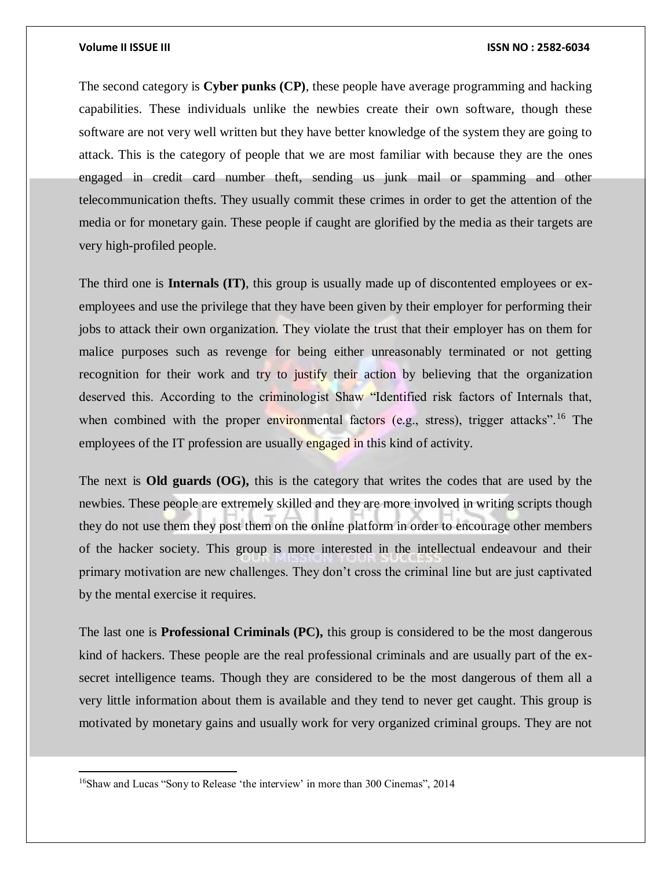$\overline{a}$ 

The second category is **Cyber punks (CP)**, these people have average programming and hacking capabilities. These individuals unlike the newbies create their own software, though these software are not very well written but they have better knowledge of the system they are going to attack. This is the category of people that we are most familiar with because they are the ones engaged in credit card number theft, sending us junk mail or spamming and other telecommunication thefts. They usually commit these crimes in order to get the attention of the media or for monetary gain. These people if caught are glorified by the media as their targets are very high-profiled people.

The third one is **Internals (IT)**, this group is usually made up of discontented employees or exemployees and use the privilege that they have been given by their employer for performing their jobs to attack their own organization. They violate the trust that their employer has on them for malice purposes such as revenge for being either unreasonably terminated or not getting recognition for their work and try to justify their action by believing that the organization deserved this. According to the criminologist Shaw "Identified risk factors of Internals that, when combined with the proper environmental factors (e.g., stress), trigger attacks".<sup>16</sup> The employees of the IT profession are usually engaged in this kind of activity.

The next is **Old guards (OG),** this is the category that writes the codes that are used by the newbies. These people are extremely skilled and they are more involved in writing scripts though they do not use them they post them on the online platform in order to encourage other members of the hacker society. This group is more interested in the intellectual endeavour and their primary motivation are new challenges. They don't cross the criminal line but are just captivated by the mental exercise it requires.

The last one is **Professional Criminals (PC),** this group is considered to be the most dangerous kind of hackers. These people are the real professional criminals and are usually part of the exsecret intelligence teams. Though they are considered to be the most dangerous of them all a very little information about them is available and they tend to never get caught. This group is motivated by monetary gains and usually work for very organized criminal groups. They are not

<sup>16</sup>Shaw and Lucas "Sony to Release 'the interview' in more than 300 Cinemas", 2014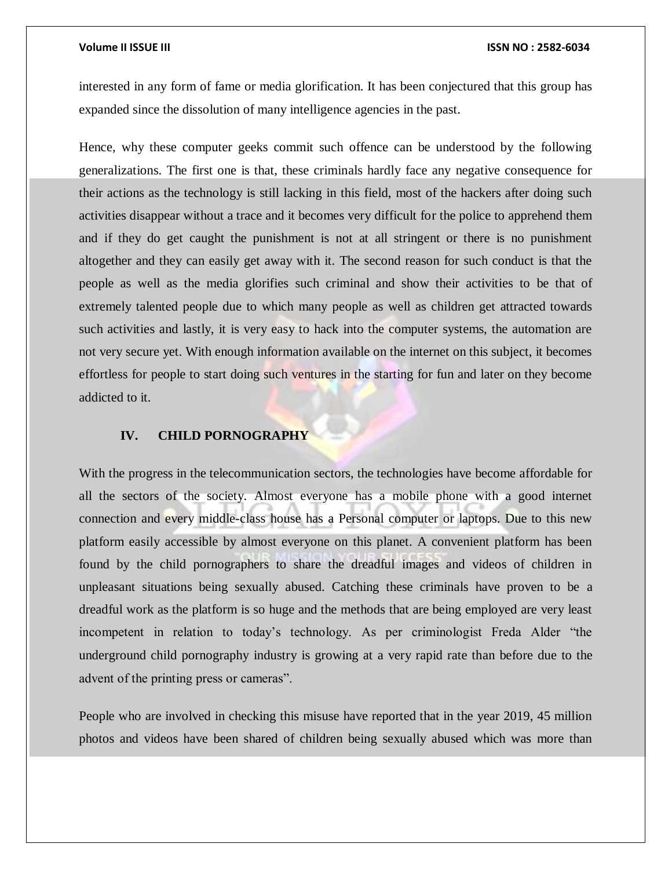interested in any form of fame or media glorification. It has been conjectured that this group has expanded since the dissolution of many intelligence agencies in the past.

Hence, why these computer geeks commit such offence can be understood by the following generalizations. The first one is that, these criminals hardly face any negative consequence for their actions as the technology is still lacking in this field, most of the hackers after doing such activities disappear without a trace and it becomes very difficult for the police to apprehend them and if they do get caught the punishment is not at all stringent or there is no punishment altogether and they can easily get away with it. The second reason for such conduct is that the people as well as the media glorifies such criminal and show their activities to be that of extremely talented people due to which many people as well as children get attracted towards such activities and lastly, it is very easy to hack into the computer systems, the automation are not very secure yet. With enough information available on the internet on this subject, it becomes effortless for people to start doing such ventures in the starting for fun and later on they become addicted to it.

### **IV. CHILD PORNOGRAPHY**

With the progress in the telecommunication sectors, the technologies have become affordable for all the sectors of the society. Almost everyone has a mobile phone with a good internet connection and every middle-class house has a Personal computer or laptops. Due to this new platform easily accessible by almost everyone on this planet. A convenient platform has been found by the child pornographers to share the dreadful images and videos of children in unpleasant situations being sexually abused. Catching these criminals have proven to be a dreadful work as the platform is so huge and the methods that are being employed are very least incompetent in relation to today's technology. As per criminologist Freda Alder "the underground child pornography industry is growing at a very rapid rate than before due to the advent of the printing press or cameras".

People who are involved in checking this misuse have reported that in the year 2019, 45 million photos and videos have been shared of children being sexually abused which was more than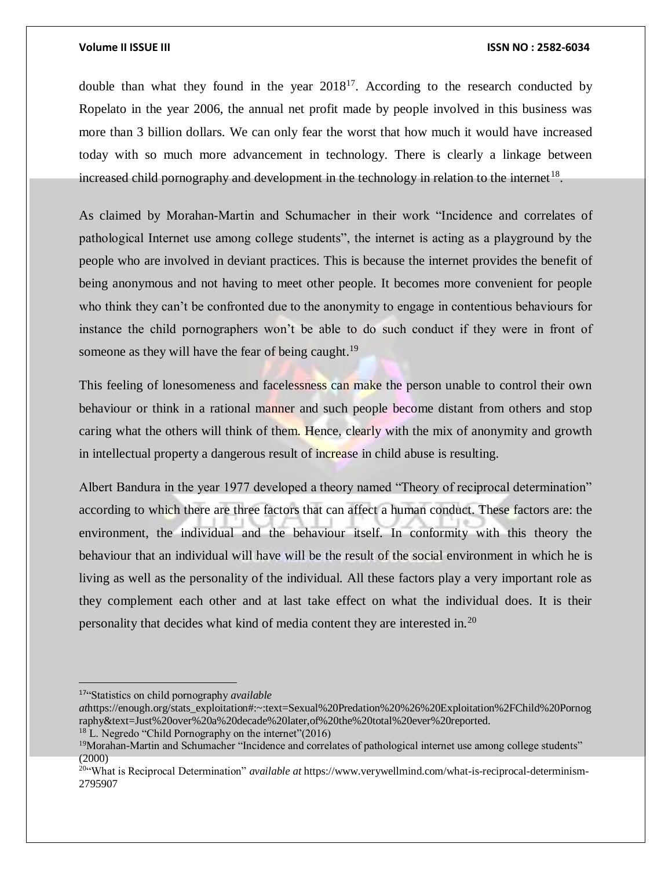double than what they found in the year  $2018^{17}$ . According to the research conducted by Ropelato in the year 2006, the annual net profit made by people involved in this business was more than 3 billion dollars. We can only fear the worst that how much it would have increased today with so much more advancement in technology. There is clearly a linkage between increased child pornography and development in the technology in relation to the internet<sup>18</sup>.

As claimed by Morahan-Martin and Schumacher in their work "Incidence and correlates of pathological Internet use among college students", the internet is acting as a playground by the people who are involved in deviant practices. This is because the internet provides the benefit of being anonymous and not having to meet other people. It becomes more convenient for people who think they can't be confronted due to the anonymity to engage in contentious behaviours for instance the child pornographers won't be able to do such conduct if they were in front of someone as they will have the fear of being caught.<sup>19</sup>

This feeling of lonesomeness and facelessness can make the person unable to control their own behaviour or think in a rational manner and such people become distant from others and stop caring what the others will think of them. Hence, clearly with the mix of anonymity and growth in intellectual property a dangerous result of increase in child abuse is resulting.

Albert Bandura in the year 1977 developed a theory named "Theory of reciprocal determination" according to which there are three factors that can affect a human conduct. These factors are: the environment, the individual and the behaviour itself. In conformity with this theory the behaviour that an individual will have will be the result of the social environment in which he is living as well as the personality of the individual. All these factors play a very important role as they complement each other and at last take effect on what the individual does. It is their personality that decides what kind of media content they are interested in.<sup>20</sup>

 $\overline{a}$ 

<sup>17</sup>"Statistics on child pornography *available* 

*at*https://enough.org/stats\_exploitation#:~:text=Sexual%20Predation%20%26%20Exploitation%2FChild%20Pornog raphy&text=Just%20over%20a%20decade%20later,of%20the%20total%20ever%20reported.

<sup>18</sup> L. Negredo "Child Pornography on the internet"(2016)

<sup>&</sup>lt;sup>19</sup>Morahan-Martin and Schumacher "Incidence and correlates of pathological internet use among college students" (2000)

<sup>20</sup>"What is Reciprocal Determination" *available at* https://www.verywellmind.com/what-is-reciprocal-determinism-2795907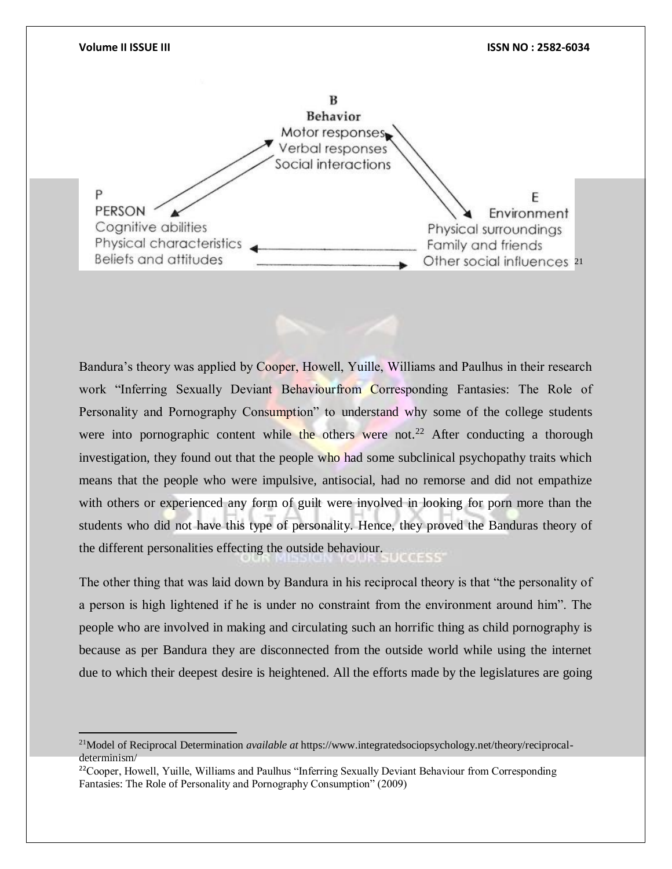

Bandura's theory was applied by Cooper, Howell, Yuille, Williams and Paulhus in their research work "Inferring Sexually Deviant Behaviourfrom Corresponding Fantasies: The Role of Personality and Pornography Consumption" to understand why some of the college students were into pornographic content while the others were not.<sup>22</sup> After conducting a thorough investigation, they found out that the people who had some subclinical psychopathy traits which means that the people who were impulsive, antisocial, had no remorse and did not empathize with others or experienced any form of guilt were involved in looking for porn more than the students who did not have this type of personality. Hence, they proved the Banduras theory of the different personalities effecting the outside behaviour.

The other thing that was laid down by Bandura in his reciprocal theory is that "the personality of a person is high lightened if he is under no constraint from the environment around him". The people who are involved in making and circulating such an horrific thing as child pornography is because as per Bandura they are disconnected from the outside world while using the internet due to which their deepest desire is heightened. All the efforts made by the legislatures are going

 $\overline{a}$ 

<sup>21</sup>Model of Reciprocal Determination *available at* https://www.integratedsociopsychology.net/theory/reciprocaldeterminism/

<sup>&</sup>lt;sup>22</sup>Cooper, Howell, Yuille, Williams and Paulhus "Inferring Sexually Deviant Behaviour from Corresponding Fantasies: The Role of Personality and Pornography Consumption" (2009)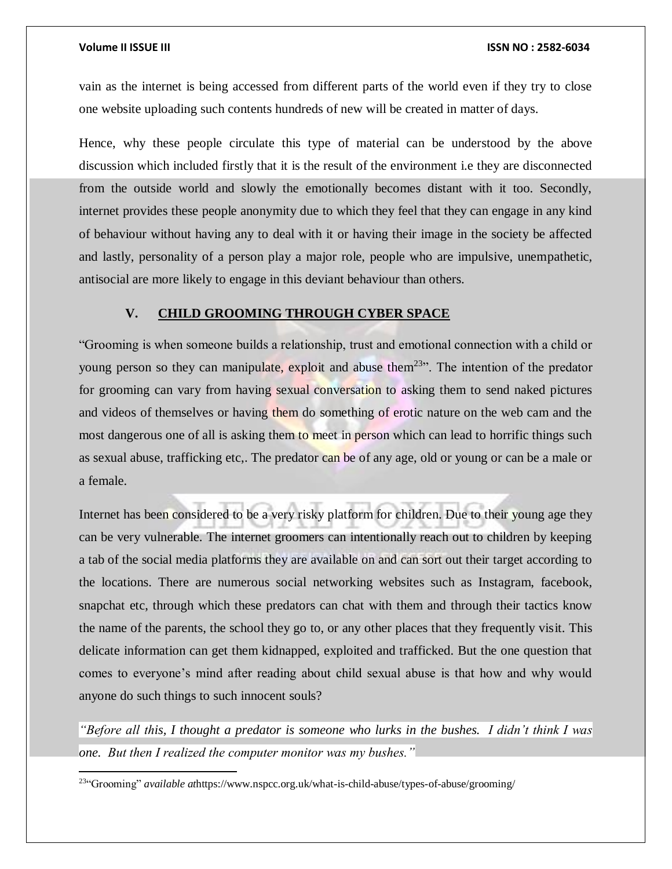$\overline{a}$ 

vain as the internet is being accessed from different parts of the world even if they try to close one website uploading such contents hundreds of new will be created in matter of days.

Hence, why these people circulate this type of material can be understood by the above discussion which included firstly that it is the result of the environment i.e they are disconnected from the outside world and slowly the emotionally becomes distant with it too. Secondly, internet provides these people anonymity due to which they feel that they can engage in any kind of behaviour without having any to deal with it or having their image in the society be affected and lastly, personality of a person play a major role, people who are impulsive, unempathetic, antisocial are more likely to engage in this deviant behaviour than others.

### **V. CHILD GROOMING THROUGH CYBER SPACE**

"Grooming is when someone builds a relationship, trust and emotional connection with a child or young person so they can manipulate, exploit and abuse them<sup>23</sup>". The intention of the predator for grooming can vary from having sexual conversation to asking them to send naked pictures and videos of themselves or having them do something of erotic nature on the web cam and the most dangerous one of all is asking them to meet in person which can lead to horrific things such as sexual abuse, trafficking etc,. The predator can be of any age, old or young or can be a male or a female.

Internet has been considered to be a very risky platform for children. Due to their young age they can be very vulnerable. The internet groomers can intentionally reach out to children by keeping a tab of the social media platforms they are available on and can sort out their target according to the locations. There are numerous social networking websites such as Instagram, facebook, snapchat etc, through which these predators can chat with them and through their tactics know the name of the parents, the school they go to, or any other places that they frequently visit. This delicate information can get them kidnapped, exploited and trafficked. But the one question that comes to everyone's mind after reading about child sexual abuse is that how and why would anyone do such things to such innocent souls?

*"Before all this, I thought a predator is someone who lurks in the bushes. I didn't think I was one. But then I realized the computer monitor was my bushes."*

23"Grooming" *available at*https://www.nspcc.org.uk/what-is-child-abuse/types-of-abuse/grooming/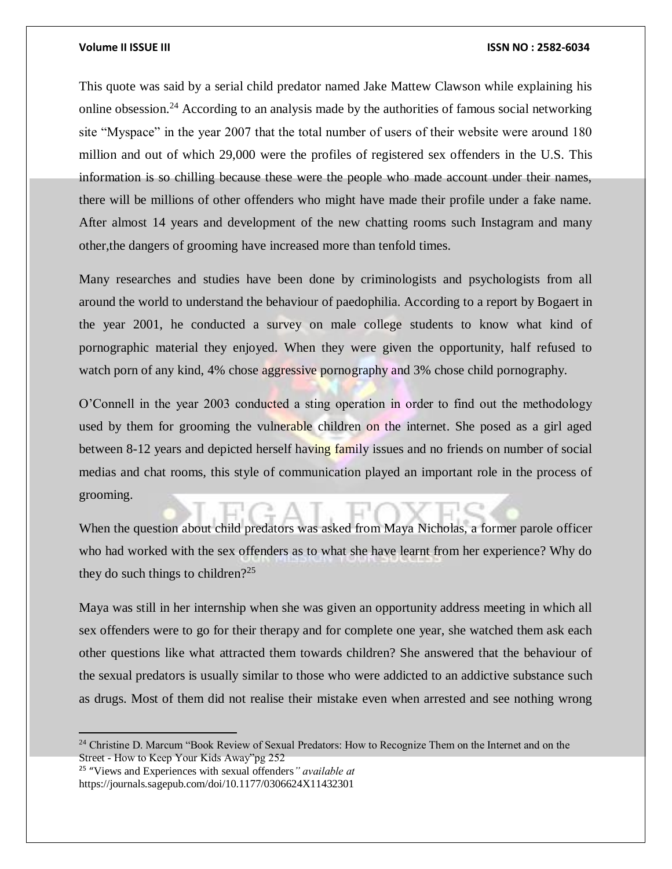This quote was said by a serial child predator named Jake Mattew Clawson while explaining his online obsession.<sup>24</sup> According to an analysis made by the authorities of famous social networking site "Myspace" in the year 2007 that the total number of users of their website were around 180 million and out of which 29,000 were the profiles of registered sex offenders in the U.S. This information is so chilling because these were the people who made account under their names, there will be millions of other offenders who might have made their profile under a fake name. After almost 14 years and development of the new chatting rooms such Instagram and many other,the dangers of grooming have increased more than tenfold times.

Many researches and studies have been done by criminologists and psychologists from all around the world to understand the behaviour of paedophilia. According to a report by Bogaert in the year 2001, he conducted a survey on male college students to know what kind of pornographic material they enjoyed. When they were given the opportunity, half refused to watch porn of any kind, 4% chose aggressive pornography and 3% chose child pornography.

O'Connell in the year 2003 conducted a sting operation in order to find out the methodology used by them for grooming the vulnerable children on the internet. She posed as a girl aged between 8-12 years and depicted herself having family issues and no friends on number of social medias and chat rooms, this style of communication played an important role in the process of grooming.

When the question about child predators was asked from Maya Nicholas, a former parole officer who had worked with the sex offenders as to what she have learnt from her experience? Why do they do such things to children?<sup>25</sup>

Maya was still in her internship when she was given an opportunity address meeting in which all sex offenders were to go for their therapy and for complete one year, she watched them ask each other questions like what attracted them towards children? She answered that the behaviour of the sexual predators is usually similar to those who were addicted to an addictive substance such as drugs. Most of them did not realise their mistake even when arrested and see nothing wrong

25 "Views and Experiences with sexual offenders*" available at* https://journals.sagepub.com/doi/10.1177/0306624X11432301

 $\overline{a}$ 

<sup>&</sup>lt;sup>24</sup> Christine D. Marcum "Book Review of Sexual Predators: How to Recognize Them on the Internet and on the Street - How to Keep Your Kids Away"pg 252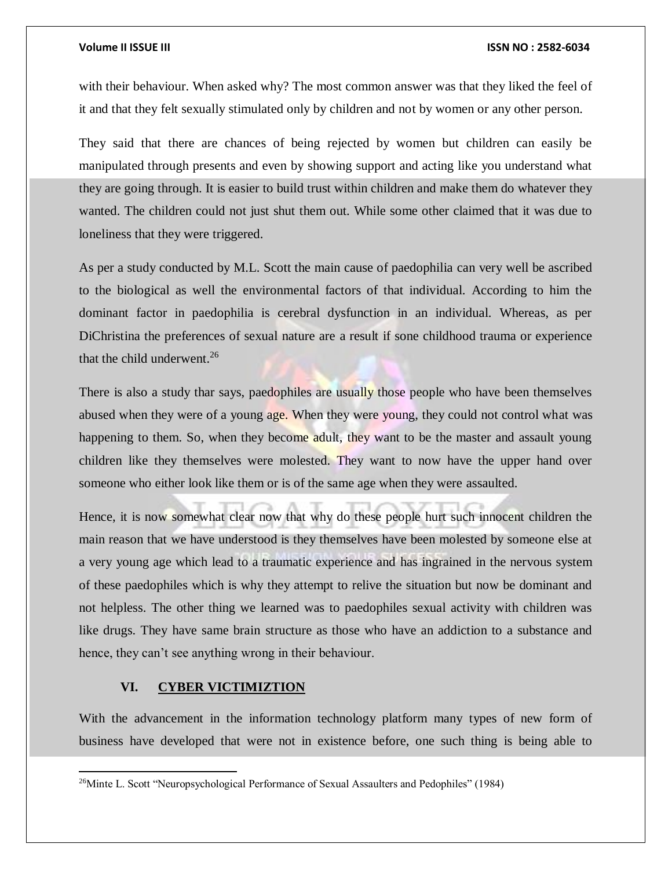with their behaviour. When asked why? The most common answer was that they liked the feel of it and that they felt sexually stimulated only by children and not by women or any other person.

They said that there are chances of being rejected by women but children can easily be manipulated through presents and even by showing support and acting like you understand what they are going through. It is easier to build trust within children and make them do whatever they wanted. The children could not just shut them out. While some other claimed that it was due to loneliness that they were triggered.

As per a study conducted by M.L. Scott the main cause of paedophilia can very well be ascribed to the biological as well the environmental factors of that individual. According to him the dominant factor in paedophilia is cerebral dysfunction in an individual. Whereas, as per DiChristina the preferences of sexual nature are a result if sone childhood trauma or experience that the child underwent. $26$ 

There is also a study thar says, paedophiles are usually those people who have been themselves abused when they were of a young age. When they were young, they could not control what was happening to them. So, when they become adult, they want to be the master and assault young children like they themselves were molested. They want to now have the upper hand over someone who either look like them or is of the same age when they were assaulted.

Hence, it is now somewhat clear now that why do these people hurt such innocent children the main reason that we have understood is they themselves have been molested by someone else at a very young age which lead to a traumatic experience and has ingrained in the nervous system of these paedophiles which is why they attempt to relive the situation but now be dominant and not helpless. The other thing we learned was to paedophiles sexual activity with children was like drugs. They have same brain structure as those who have an addiction to a substance and hence, they can't see anything wrong in their behaviour.

### **VI. CYBER VICTIMIZTION**

 $\overline{a}$ 

With the advancement in the information technology platform many types of new form of business have developed that were not in existence before, one such thing is being able to

<sup>&</sup>lt;sup>26</sup>Minte L. Scott "Neuropsychological Performance of Sexual Assaulters and Pedophiles" (1984)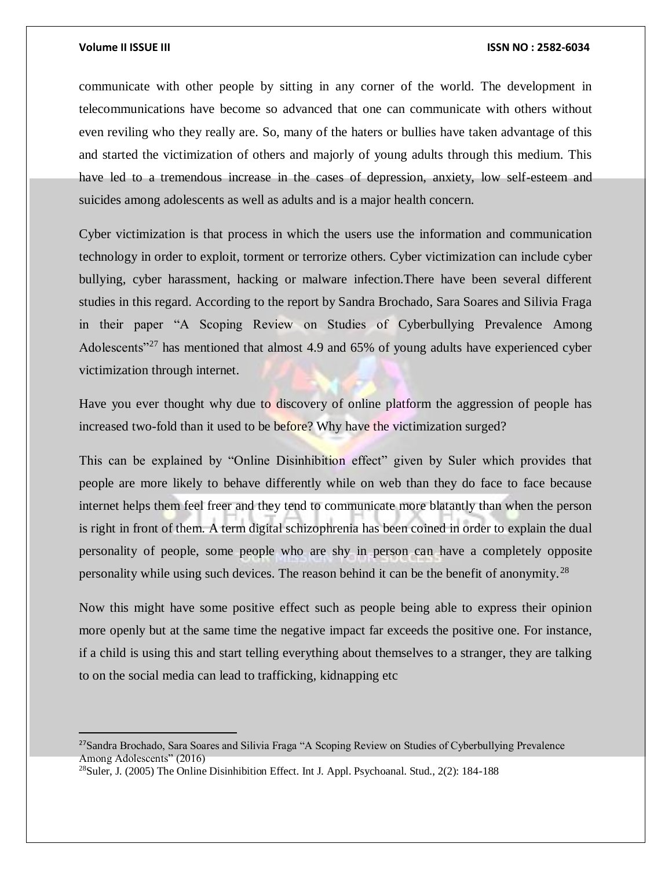$\overline{a}$ 

communicate with other people by sitting in any corner of the world. The development in telecommunications have become so advanced that one can communicate with others without even reviling who they really are. So, many of the haters or bullies have taken advantage of this and started the victimization of others and majorly of young adults through this medium. This have led to a tremendous increase in the cases of depression, anxiety, low self-esteem and suicides among adolescents as well as adults and is a major health concern.

Cyber victimization is that process in which the users use the information and communication technology in order to exploit, torment or terrorize others. Cyber victimization can include cyber bullying, cyber harassment, hacking or malware infection.There have been several different studies in this regard. According to the report by Sandra Brochado, Sara Soares and Silivia Fraga in their paper "A Scoping Review on Studies of Cyberbullying Prevalence Among Adolescents<sup>"27</sup> has mentioned that almost 4.9 and 65% of young adults have experienced cyber victimization through internet.

Have you ever thought why due to discovery of online platform the aggression of people has increased two-fold than it used to be before? Why have the victimization surged?

This can be explained by "Online Disinhibition effect" given by Suler which provides that people are more likely to behave differently while on web than they do face to face because internet helps them feel freer and they tend to communicate more blatantly than when the person is right in front of them. A term digital schizophrenia has been coined in order to explain the dual personality of people, some people who are shy in person can have a completely opposite personality while using such devices. The reason behind it can be the benefit of anonymity.<sup>28</sup>

Now this might have some positive effect such as people being able to express their opinion more openly but at the same time the negative impact far exceeds the positive one. For instance, if a child is using this and start telling everything about themselves to a stranger, they are talking to on the social media can lead to trafficking, kidnapping etc

<sup>&</sup>lt;sup>27</sup>Sandra Brochado, Sara Soares and Silivia Fraga "A Scoping Review on Studies of Cyberbullying Prevalence Among Adolescents" (2016)

<sup>28</sup>Suler, J. (2005) The Online Disinhibition Effect. Int J. Appl. Psychoanal. Stud., 2(2): 184-188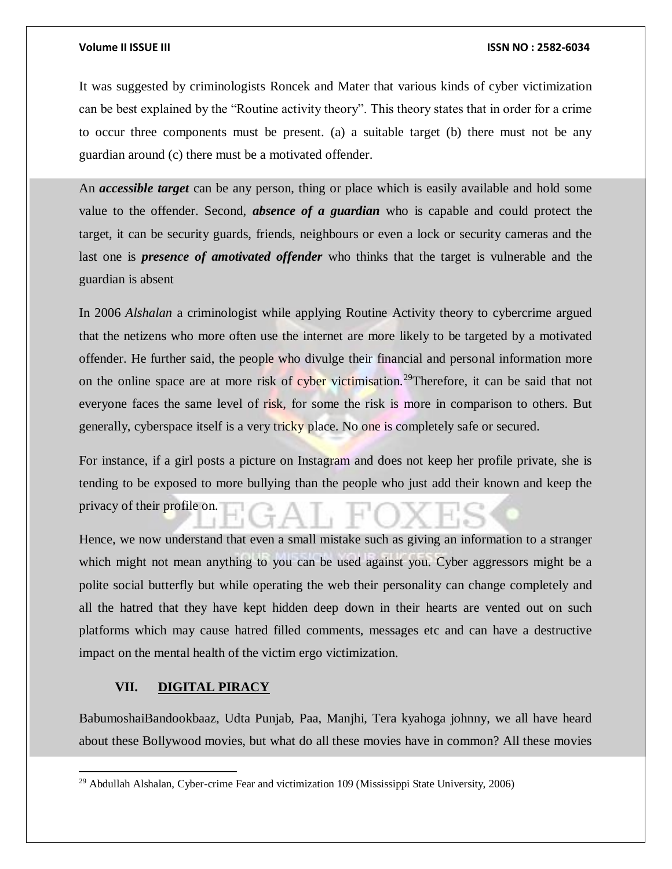It was suggested by criminologists Roncek and Mater that various kinds of cyber victimization can be best explained by the "Routine activity theory". This theory states that in order for a crime to occur three components must be present. (a) a suitable target (b) there must not be any guardian around (c) there must be a motivated offender.

An *accessible target* can be any person, thing or place which is easily available and hold some value to the offender. Second, *absence of a guardian* who is capable and could protect the target, it can be security guards, friends, neighbours or even a lock or security cameras and the last one is *presence of amotivated offender* who thinks that the target is vulnerable and the guardian is absent

In 2006 *Alshalan* a criminologist while applying Routine Activity theory to cybercrime argued that the netizens who more often use the internet are more likely to be targeted by a motivated offender. He further said, the people who divulge their financial and personal information more on the online space are at more risk of cyber victimisation.<sup>29</sup>Therefore, it can be said that not everyone faces the same level of risk, for some the risk is more in comparison to others. But generally, cyberspace itself is a very tricky place. No one is completely safe or secured.

For instance, if a girl posts a picture on Instagram and does not keep her profile private, she is tending to be exposed to more bullying than the people who just add their known and keep the privacy of their profile on.

Hence, we now understand that even a small mistake such as giving an information to a stranger which might not mean anything to you can be used against you. Cyber aggressors might be a polite social butterfly but while operating the web their personality can change completely and all the hatred that they have kept hidden deep down in their hearts are vented out on such platforms which may cause hatred filled comments, messages etc and can have a destructive impact on the mental health of the victim ergo victimization.

### **VII. DIGITAL PIRACY**

 $\overline{a}$ 

BabumoshaiBandookbaaz, Udta Punjab, Paa, Manjhi, Tera kyahoga johnny, we all have heard about these Bollywood movies, but what do all these movies have in common? All these movies

<sup>&</sup>lt;sup>29</sup> Abdullah Alshalan, Cyber-crime Fear and victimization 109 (Mississippi State University, 2006)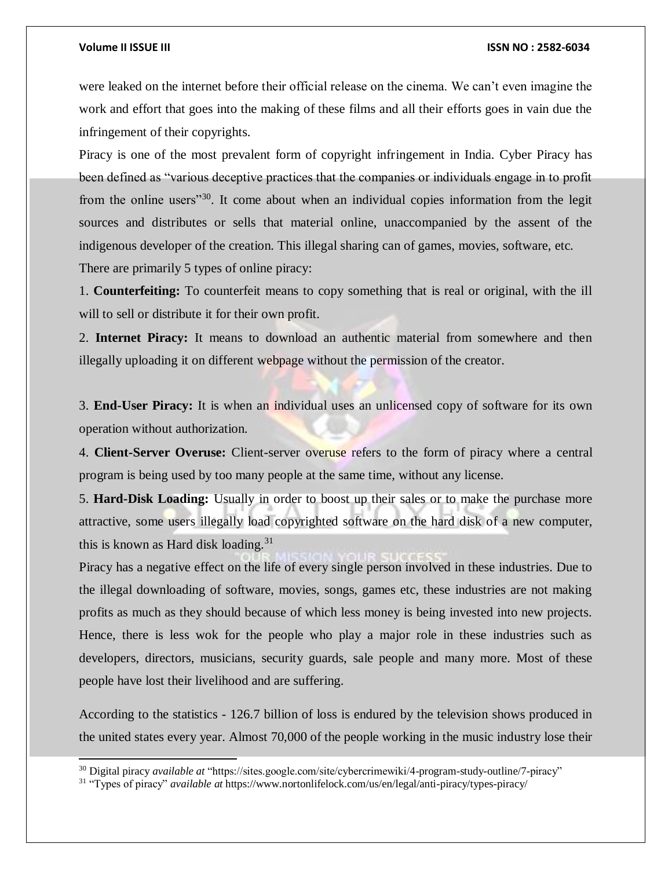l

### **Volume II ISSUE III ISSN NO : 2582-6034**

were leaked on the internet before their official release on the cinema. We can't even imagine the work and effort that goes into the making of these films and all their efforts goes in vain due the infringement of their copyrights.

Piracy is one of the most prevalent form of copyright infringement in India. Cyber Piracy has been defined as "various deceptive practices that the companies or individuals engage in to profit from the online users<sup>"30</sup>. It come about when an individual copies information from the legit sources and distributes or sells that material online, unaccompanied by the assent of the indigenous developer of the creation. This illegal sharing can of games, movies, software, etc. There are primarily 5 types of online piracy:

1. **Counterfeiting:** To counterfeit means to copy something that is real or original, with the ill will to sell or distribute it for their own profit.

2. **Internet Piracy:** It means to download an authentic material from somewhere and then illegally uploading it on different webpage without the permission of the creator.

3. **End-User Piracy:** It is when an individual uses an unlicensed copy of software for its own operation without authorization.

4. **Client-Server Overuse:** Client-server overuse refers to the form of piracy where a central program is being used by too many people at the same time, without any license.

5. **Hard-Disk Loading:** Usually in order to boost up their sales or to make the purchase more attractive, some users illegally load copyrighted software on the hard disk of a new computer, this is known as Hard disk loading.<sup>31</sup>

Piracy has a negative effect on the life of every single person involved in these industries. Due to the illegal downloading of software, movies, songs, games etc, these industries are not making profits as much as they should because of which less money is being invested into new projects. Hence, there is less wok for the people who play a major role in these industries such as developers, directors, musicians, security guards, sale people and many more. Most of these people have lost their livelihood and are suffering.

According to the statistics - 126.7 billion of loss is endured by the television shows produced in the united states every year. Almost 70,000 of the people working in the music industry lose their

<sup>30</sup> Digital piracy *available at* "https://sites.google.com/site/cybercrimewiki/4-program-study-outline/7-piracy"

<sup>31</sup> "Types of piracy" *available at* https://www.nortonlifelock.com/us/en/legal/anti-piracy/types-piracy/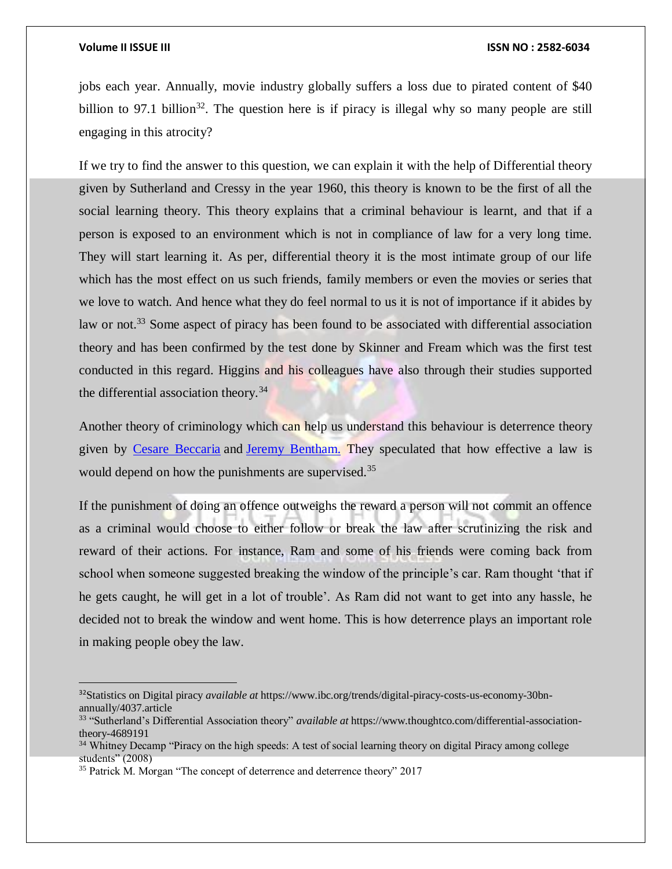$\overline{a}$ 

### **Volume II ISSUE III ISSN NO : 2582-6034**

jobs each year. Annually, movie industry globally suffers a loss due to pirated content of \$40 billion to 97.1 billion<sup>32</sup>. The question here is if piracy is illegal why so many people are still engaging in this atrocity?

If we try to find the answer to this question, we can explain it with the help of Differential theory given by Sutherland and Cressy in the year 1960, this theory is known to be the first of all the social learning theory. This theory explains that a criminal behaviour is learnt, and that if a person is exposed to an environment which is not in compliance of law for a very long time. They will start learning it. As per, differential theory it is the most intimate group of our life which has the most effect on us such friends, family members or even the movies or series that we love to watch. And hence what they do feel normal to us it is not of importance if it abides by law or not.<sup>33</sup> Some aspect of piracy has been found to be associated with differential association theory and has been confirmed by the test done by Skinner and Fream which was the first test conducted in this regard. Higgins and his colleagues have also through their studies supported the differential association theory.<sup>34</sup>

Another theory of criminology which can help us understand this behaviour is deterrence theory given by [Cesare Beccaria](https://en.wikipedia.org/wiki/Cesare_Beccaria) and [Jeremy Bentham.](https://en.wikipedia.org/wiki/Jeremy_Bentham) They speculated that how effective a law is would depend on how the punishments are supervised.<sup>35</sup>

If the punishment of doing an offence outweighs the reward a person will not commit an offence as a criminal would choose to either follow or break the law after scrutinizing the risk and reward of their actions. For instance, Ram and some of his friends were coming back from school when someone suggested breaking the window of the principle's car. Ram thought 'that if he gets caught, he will get in a lot of trouble'. As Ram did not want to get into any hassle, he decided not to break the window and went home. This is how deterrence plays an important role in making people obey the law.

<sup>32</sup>Statistics on Digital piracy *available at* https://www.ibc.org/trends/digital-piracy-costs-us-economy-30bnannually/4037.article

<sup>33</sup> "Sutherland's Differential Association theory" *available at* https://www.thoughtco.com/differential-associationtheory-4689191

<sup>&</sup>lt;sup>34</sup> Whitney Decamp "Piracy on the high speeds: A test of social learning theory on digital Piracy among college students" (2008)

<sup>&</sup>lt;sup>35</sup> Patrick M. Morgan "The concept of deterrence and deterrence theory" 2017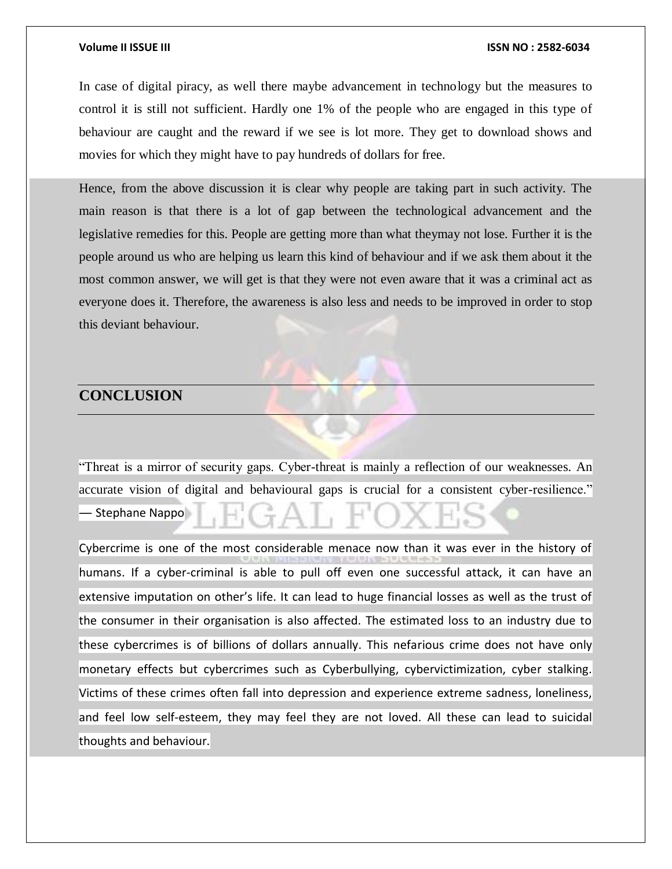In case of digital piracy, as well there maybe advancement in technology but the measures to control it is still not sufficient. Hardly one 1% of the people who are engaged in this type of behaviour are caught and the reward if we see is lot more. They get to download shows and movies for which they might have to pay hundreds of dollars for free.

Hence, from the above discussion it is clear why people are taking part in such activity. The main reason is that there is a lot of gap between the technological advancement and the legislative remedies for this. People are getting more than what theymay not lose. Further it is the people around us who are helping us learn this kind of behaviour and if we ask them about it the most common answer, we will get is that they were not even aware that it was a criminal act as everyone does it. Therefore, the awareness is also less and needs to be improved in order to stop this deviant behaviour.

### **CONCLUSION**

"Threat is a mirror of security gaps. Cyber-threat is mainly a reflection of our weaknesses. An accurate vision of digital and behavioural gaps is crucial for a consistent cyber-resilience." ― Stephane Nappo

Cybercrime is one of the most considerable menace now than it was ever in the history of humans. If a cyber-criminal is able to pull off even one successful attack, it can have an extensive imputation on other's life. It can lead to huge financial losses as well as the trust of the consumer in their organisation is also affected. The estimated loss to an industry due to these cybercrimes is of billions of dollars annually. This nefarious crime does not have only monetary effects but cybercrimes such as Cyberbullying, cybervictimization, cyber stalking. Victims of these crimes often fall into depression and experience extreme sadness, loneliness, and feel low self-esteem, they may feel they are not loved. All these can lead to suicidal thoughts and behaviour.